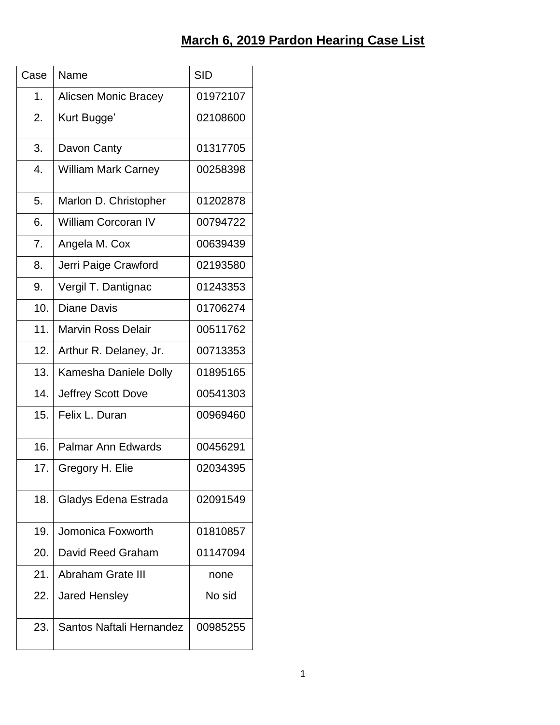| Case | Name                        | <b>SID</b> |
|------|-----------------------------|------------|
| 1.   | <b>Alicsen Monic Bracey</b> | 01972107   |
| 2.   | Kurt Bugge'                 | 02108600   |
| 3.   | Davon Canty                 | 01317705   |
| 4.   | <b>William Mark Carney</b>  | 00258398   |
| 5.   | Marlon D. Christopher       | 01202878   |
| 6.   | <b>William Corcoran IV</b>  | 00794722   |
| 7.   | Angela M. Cox               | 00639439   |
| 8.   | Jerri Paige Crawford        | 02193580   |
| 9.   | Vergil T. Dantignac         | 01243353   |
| 10.  | <b>Diane Davis</b>          | 01706274   |
| 11.  | <b>Marvin Ross Delair</b>   | 00511762   |
| 12.  | Arthur R. Delaney, Jr.      | 00713353   |
| 13.  | Kamesha Daniele Dolly       | 01895165   |
| 14.  | <b>Jeffrey Scott Dove</b>   | 00541303   |
| 15.  | Felix L. Duran              | 00969460   |
| 16.  | <b>Palmar Ann Edwards</b>   | 00456291   |
| 17.  | Gregory H. Elie             | 02034395   |
| 18.  | Gladys Edena Estrada        | 02091549   |
| 19.  | Jomonica Foxworth           | 01810857   |
| 20.  | David Reed Graham           | 01147094   |
| 21.  | <b>Abraham Grate III</b>    | none       |
| 22.  | <b>Jared Hensley</b>        | No sid     |
| 23.  | Santos Naftali Hernandez    | 00985255   |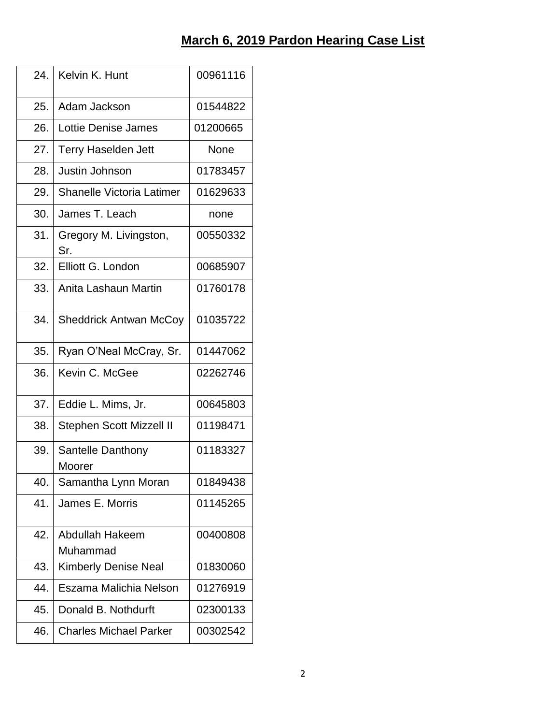| 24. | Kelvin K. Hunt                   | 00961116 |
|-----|----------------------------------|----------|
|     |                                  |          |
| 25. | Adam Jackson                     | 01544822 |
| 26. | Lottie Denise James              | 01200665 |
| 27. | <b>Terry Haselden Jett</b>       | None     |
| 28. | Justin Johnson                   | 01783457 |
| 29. | <b>Shanelle Victoria Latimer</b> | 01629633 |
| 30. | James T. Leach                   | none     |
| 31. | Gregory M. Livingston,<br>Sr.    | 00550332 |
| 32. | Elliott G. London                | 00685907 |
| 33. | Anita Lashaun Martin             | 01760178 |
| 34. | <b>Sheddrick Antwan McCoy</b>    | 01035722 |
| 35. | Ryan O'Neal McCray, Sr.          | 01447062 |
| 36. | Kevin C. McGee                   | 02262746 |
| 37. | Eddie L. Mims, Jr.               | 00645803 |
| 38. | <b>Stephen Scott Mizzell II</b>  | 01198471 |
| 39. | Santelle Danthony<br>Moorer      | 01183327 |
| 40. | Samantha Lynn Moran              | 01849438 |
| 41. | James E. Morris                  | 01145265 |
| 42. | Abdullah Hakeem<br>Muhammad      | 00400808 |
| 43. | <b>Kimberly Denise Neal</b>      | 01830060 |
| 44. | Eszama Malichia Nelson           | 01276919 |
| 45. | Donald B. Nothdurft              | 02300133 |
| 46. | <b>Charles Michael Parker</b>    | 00302542 |
|     |                                  |          |